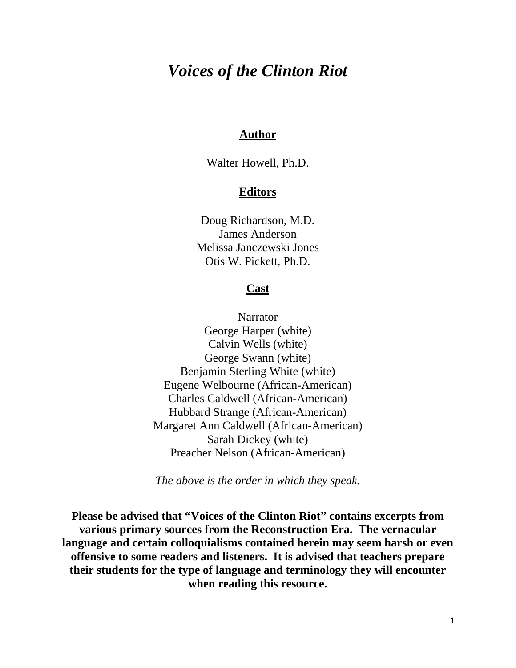# *Voices of the Clinton Riot*

## **Author**

Walter Howell, Ph.D.

## **Editors**

Doug Richardson, M.D. James Anderson Melissa Janczewski Jones Otis W. Pickett, Ph.D.

#### **Cast**

**Narrator** George Harper (white) Calvin Wells (white) George Swann (white) Benjamin Sterling White (white) Eugene Welbourne (African-American) Charles Caldwell (African-American) Hubbard Strange (African-American) Margaret Ann Caldwell (African-American) Sarah Dickey (white) Preacher Nelson (African-American)

*The above is the order in which they speak.*

**Please be advised that "Voices of the Clinton Riot" contains excerpts from various primary sources from the Reconstruction Era. The vernacular language and certain colloquialisms contained herein may seem harsh or even offensive to some readers and listeners. It is advised that teachers prepare their students for the type of language and terminology they will encounter when reading this resource.**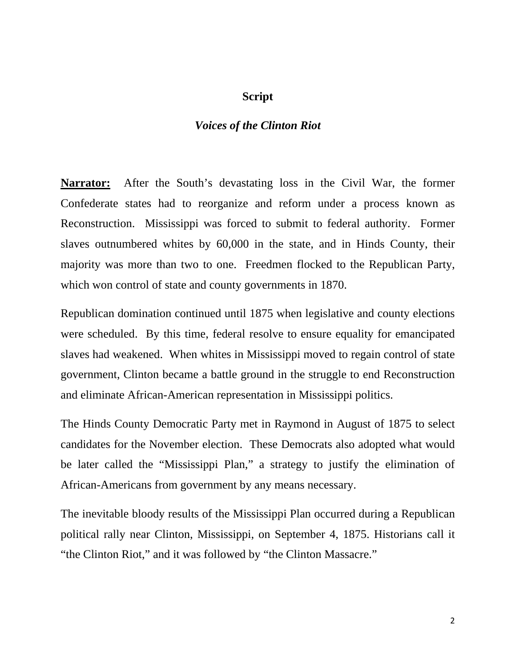### **Script**

## *Voices of the Clinton Riot*

**Narrator:** After the South's devastating loss in the Civil War, the former Confederate states had to reorganize and reform under a process known as Reconstruction. Mississippi was forced to submit to federal authority. Former slaves outnumbered whites by 60,000 in the state, and in Hinds County, their majority was more than two to one. Freedmen flocked to the Republican Party, which won control of state and county governments in 1870.

Republican domination continued until 1875 when legislative and county elections were scheduled. By this time, federal resolve to ensure equality for emancipated slaves had weakened. When whites in Mississippi moved to regain control of state government, Clinton became a battle ground in the struggle to end Reconstruction and eliminate African-American representation in Mississippi politics.

The Hinds County Democratic Party met in Raymond in August of 1875 to select candidates for the November election. These Democrats also adopted what would be later called the "Mississippi Plan," a strategy to justify the elimination of African-Americans from government by any means necessary.

The inevitable bloody results of the Mississippi Plan occurred during a Republican political rally near Clinton, Mississippi, on September 4, 1875. Historians call it "the Clinton Riot," and it was followed by "the Clinton Massacre."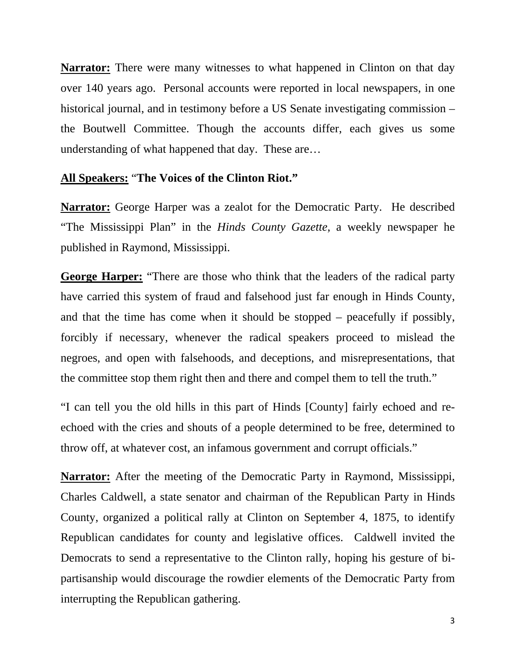**Narrator:** There were many witnesses to what happened in Clinton on that day over 140 years ago. Personal accounts were reported in local newspapers, in one historical journal, and in testimony before a US Senate investigating commission – the Boutwell Committee. Though the accounts differ, each gives us some understanding of what happened that day. These are…

## **All Speakers:** "**The Voices of the Clinton Riot."**

**Narrator:** George Harper was a zealot for the Democratic Party. He described "The Mississippi Plan" in the *Hinds County Gazette,* a weekly newspaper he published in Raymond, Mississippi.

**George Harper:** "There are those who think that the leaders of the radical party have carried this system of fraud and falsehood just far enough in Hinds County, and that the time has come when it should be stopped – peacefully if possibly, forcibly if necessary, whenever the radical speakers proceed to mislead the negroes, and open with falsehoods, and deceptions, and misrepresentations, that the committee stop them right then and there and compel them to tell the truth."

"I can tell you the old hills in this part of Hinds [County] fairly echoed and reechoed with the cries and shouts of a people determined to be free, determined to throw off, at whatever cost, an infamous government and corrupt officials."

**Narrator:** After the meeting of the Democratic Party in Raymond, Mississippi, Charles Caldwell, a state senator and chairman of the Republican Party in Hinds County, organized a political rally at Clinton on September 4, 1875, to identify Republican candidates for county and legislative offices. Caldwell invited the Democrats to send a representative to the Clinton rally, hoping his gesture of bipartisanship would discourage the rowdier elements of the Democratic Party from interrupting the Republican gathering.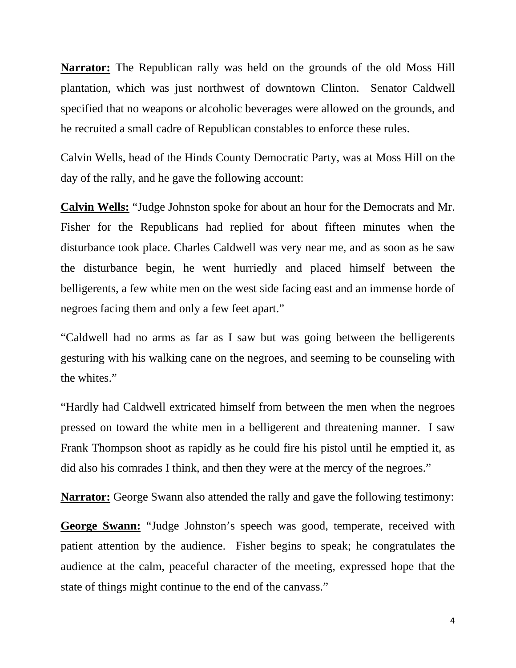**Narrator:** The Republican rally was held on the grounds of the old Moss Hill plantation, which was just northwest of downtown Clinton. Senator Caldwell specified that no weapons or alcoholic beverages were allowed on the grounds, and he recruited a small cadre of Republican constables to enforce these rules.

Calvin Wells, head of the Hinds County Democratic Party, was at Moss Hill on the day of the rally, and he gave the following account:

**Calvin Wells:** "Judge Johnston spoke for about an hour for the Democrats and Mr. Fisher for the Republicans had replied for about fifteen minutes when the disturbance took place. Charles Caldwell was very near me, and as soon as he saw the disturbance begin, he went hurriedly and placed himself between the belligerents, a few white men on the west side facing east and an immense horde of negroes facing them and only a few feet apart."

"Caldwell had no arms as far as I saw but was going between the belligerents gesturing with his walking cane on the negroes, and seeming to be counseling with the whites."

"Hardly had Caldwell extricated himself from between the men when the negroes pressed on toward the white men in a belligerent and threatening manner. I saw Frank Thompson shoot as rapidly as he could fire his pistol until he emptied it, as did also his comrades I think, and then they were at the mercy of the negroes."

**Narrator:** George Swann also attended the rally and gave the following testimony:

**George Swann:** "Judge Johnston's speech was good, temperate, received with patient attention by the audience. Fisher begins to speak; he congratulates the audience at the calm, peaceful character of the meeting, expressed hope that the state of things might continue to the end of the canvass."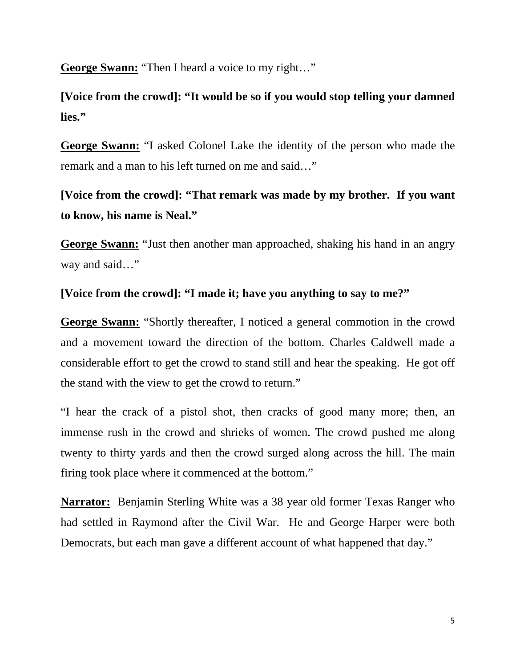**George Swann:** "Then I heard a voice to my right…"

**[Voice from the crowd]: "It would be so if you would stop telling your damned lies."**

**George Swann:** "I asked Colonel Lake the identity of the person who made the remark and a man to his left turned on me and said…"

**[Voice from the crowd]: "That remark was made by my brother. If you want to know, his name is Neal."** 

**George Swann:** "Just then another man approached, shaking his hand in an angry way and said..."

## **[Voice from the crowd]: "I made it; have you anything to say to me?"**

**George Swann:** "Shortly thereafter, I noticed a general commotion in the crowd and a movement toward the direction of the bottom. Charles Caldwell made a considerable effort to get the crowd to stand still and hear the speaking. He got off the stand with the view to get the crowd to return."

"I hear the crack of a pistol shot, then cracks of good many more; then, an immense rush in the crowd and shrieks of women. The crowd pushed me along twenty to thirty yards and then the crowd surged along across the hill. The main firing took place where it commenced at the bottom."

**Narrator:** Benjamin Sterling White was a 38 year old former Texas Ranger who had settled in Raymond after the Civil War. He and George Harper were both Democrats, but each man gave a different account of what happened that day."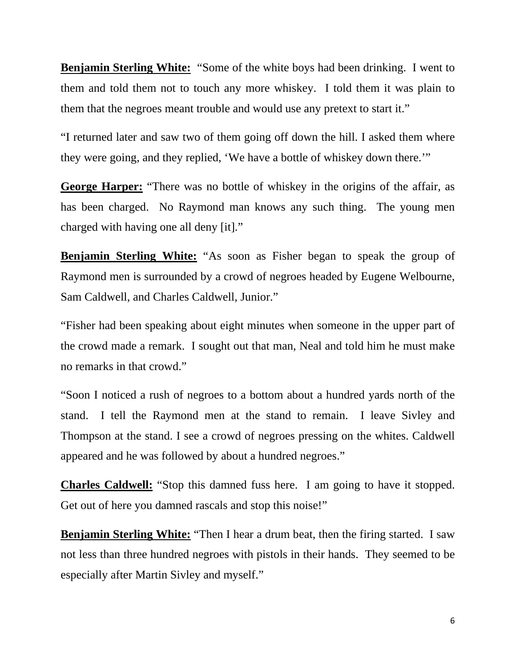**Benjamin Sterling White:** "Some of the white boys had been drinking. I went to them and told them not to touch any more whiskey. I told them it was plain to them that the negroes meant trouble and would use any pretext to start it."

"I returned later and saw two of them going off down the hill. I asked them where they were going, and they replied, 'We have a bottle of whiskey down there.'"

**George Harper:** "There was no bottle of whiskey in the origins of the affair, as has been charged. No Raymond man knows any such thing. The young men charged with having one all deny [it]."

**Benjamin Sterling White:** "As soon as Fisher began to speak the group of Raymond men is surrounded by a crowd of negroes headed by Eugene Welbourne, Sam Caldwell, and Charles Caldwell, Junior."

"Fisher had been speaking about eight minutes when someone in the upper part of the crowd made a remark. I sought out that man, Neal and told him he must make no remarks in that crowd."

"Soon I noticed a rush of negroes to a bottom about a hundred yards north of the stand. I tell the Raymond men at the stand to remain. I leave Sivley and Thompson at the stand. I see a crowd of negroes pressing on the whites. Caldwell appeared and he was followed by about a hundred negroes."

**Charles Caldwell:** "Stop this damned fuss here. I am going to have it stopped. Get out of here you damned rascals and stop this noise!"

**Benjamin Sterling White:** "Then I hear a drum beat, then the firing started. I saw not less than three hundred negroes with pistols in their hands. They seemed to be especially after Martin Sivley and myself."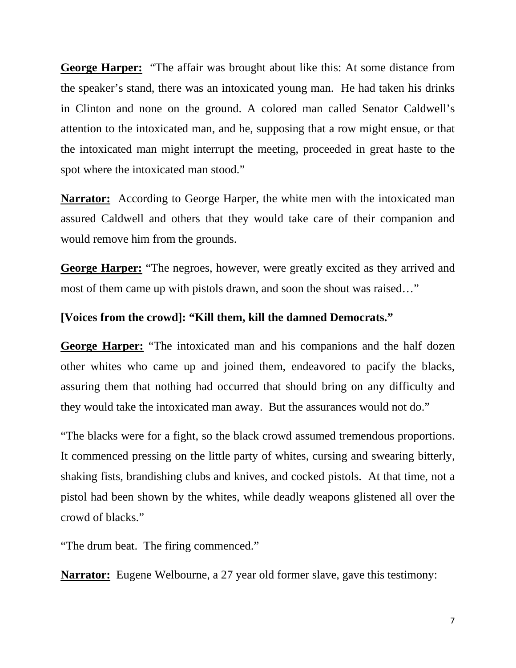**George Harper:** "The affair was brought about like this: At some distance from the speaker's stand, there was an intoxicated young man. He had taken his drinks in Clinton and none on the ground. A colored man called Senator Caldwell's attention to the intoxicated man, and he, supposing that a row might ensue, or that the intoxicated man might interrupt the meeting, proceeded in great haste to the spot where the intoxicated man stood."

**Narrator:** According to George Harper, the white men with the intoxicated man assured Caldwell and others that they would take care of their companion and would remove him from the grounds.

**George Harper:** "The negroes, however, were greatly excited as they arrived and most of them came up with pistols drawn, and soon the shout was raised…"

## **[Voices from the crowd]: "Kill them, kill the damned Democrats."**

**George Harper:** "The intoxicated man and his companions and the half dozen other whites who came up and joined them, endeavored to pacify the blacks, assuring them that nothing had occurred that should bring on any difficulty and they would take the intoxicated man away. But the assurances would not do."

"The blacks were for a fight, so the black crowd assumed tremendous proportions. It commenced pressing on the little party of whites, cursing and swearing bitterly, shaking fists, brandishing clubs and knives, and cocked pistols. At that time, not a pistol had been shown by the whites, while deadly weapons glistened all over the crowd of blacks."

"The drum beat. The firing commenced."

**Narrator:** Eugene Welbourne, a 27 year old former slave, gave this testimony: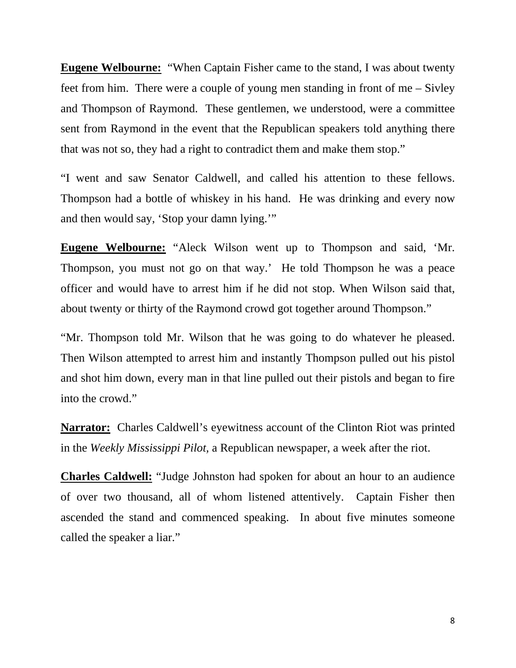**Eugene Welbourne:** "When Captain Fisher came to the stand, I was about twenty feet from him. There were a couple of young men standing in front of me – Sivley and Thompson of Raymond. These gentlemen, we understood, were a committee sent from Raymond in the event that the Republican speakers told anything there that was not so, they had a right to contradict them and make them stop."

"I went and saw Senator Caldwell, and called his attention to these fellows. Thompson had a bottle of whiskey in his hand. He was drinking and every now and then would say, 'Stop your damn lying.'"

**Eugene Welbourne:** "Aleck Wilson went up to Thompson and said, 'Mr. Thompson, you must not go on that way.' He told Thompson he was a peace officer and would have to arrest him if he did not stop. When Wilson said that, about twenty or thirty of the Raymond crowd got together around Thompson."

"Mr. Thompson told Mr. Wilson that he was going to do whatever he pleased. Then Wilson attempted to arrest him and instantly Thompson pulled out his pistol and shot him down, every man in that line pulled out their pistols and began to fire into the crowd."

**Narrator:** Charles Caldwell's eyewitness account of the Clinton Riot was printed in the *Weekly Mississippi Pilot,* a Republican newspaper, a week after the riot.

**Charles Caldwell:** "Judge Johnston had spoken for about an hour to an audience of over two thousand, all of whom listened attentively. Captain Fisher then ascended the stand and commenced speaking. In about five minutes someone called the speaker a liar."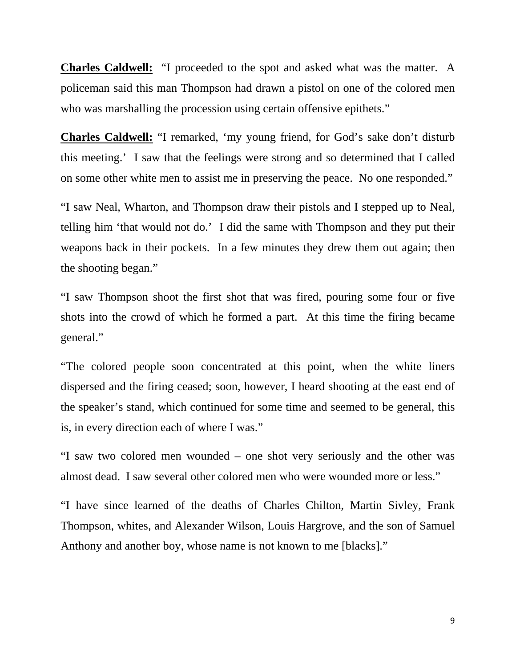**Charles Caldwell:** "I proceeded to the spot and asked what was the matter. A policeman said this man Thompson had drawn a pistol on one of the colored men who was marshalling the procession using certain offensive epithets."

**Charles Caldwell:** "I remarked, 'my young friend, for God's sake don't disturb this meeting.' I saw that the feelings were strong and so determined that I called on some other white men to assist me in preserving the peace. No one responded."

"I saw Neal, Wharton, and Thompson draw their pistols and I stepped up to Neal, telling him 'that would not do.' I did the same with Thompson and they put their weapons back in their pockets. In a few minutes they drew them out again; then the shooting began."

"I saw Thompson shoot the first shot that was fired, pouring some four or five shots into the crowd of which he formed a part. At this time the firing became general."

"The colored people soon concentrated at this point, when the white liners dispersed and the firing ceased; soon, however, I heard shooting at the east end of the speaker's stand, which continued for some time and seemed to be general, this is, in every direction each of where I was."

"I saw two colored men wounded – one shot very seriously and the other was almost dead. I saw several other colored men who were wounded more or less."

"I have since learned of the deaths of Charles Chilton, Martin Sivley, Frank Thompson, whites, and Alexander Wilson, Louis Hargrove, and the son of Samuel Anthony and another boy, whose name is not known to me [blacks]."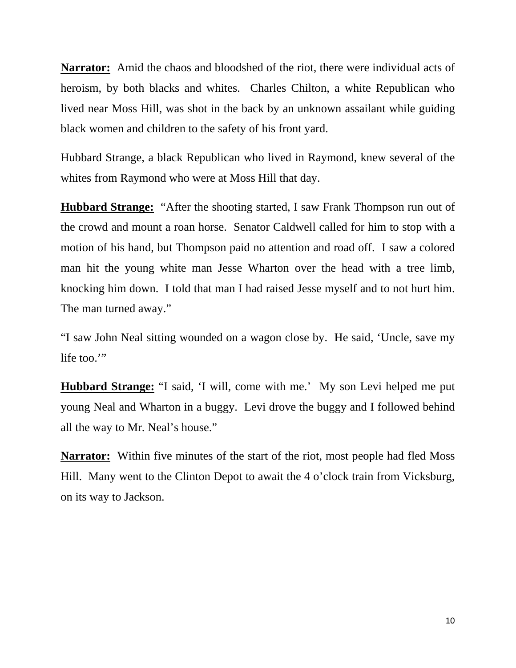**Narrator:** Amid the chaos and bloodshed of the riot, there were individual acts of heroism, by both blacks and whites. Charles Chilton, a white Republican who lived near Moss Hill, was shot in the back by an unknown assailant while guiding black women and children to the safety of his front yard.

Hubbard Strange, a black Republican who lived in Raymond, knew several of the whites from Raymond who were at Moss Hill that day.

**Hubbard Strange:** "After the shooting started, I saw Frank Thompson run out of the crowd and mount a roan horse. Senator Caldwell called for him to stop with a motion of his hand, but Thompson paid no attention and road off. I saw a colored man hit the young white man Jesse Wharton over the head with a tree limb, knocking him down. I told that man I had raised Jesse myself and to not hurt him. The man turned away."

"I saw John Neal sitting wounded on a wagon close by. He said, 'Uncle, save my life too."

**Hubbard Strange:** "I said, 'I will, come with me.' My son Levi helped me put young Neal and Wharton in a buggy. Levi drove the buggy and I followed behind all the way to Mr. Neal's house."

**Narrator:** Within five minutes of the start of the riot, most people had fled Moss Hill. Many went to the Clinton Depot to await the 4 o'clock train from Vicksburg, on its way to Jackson.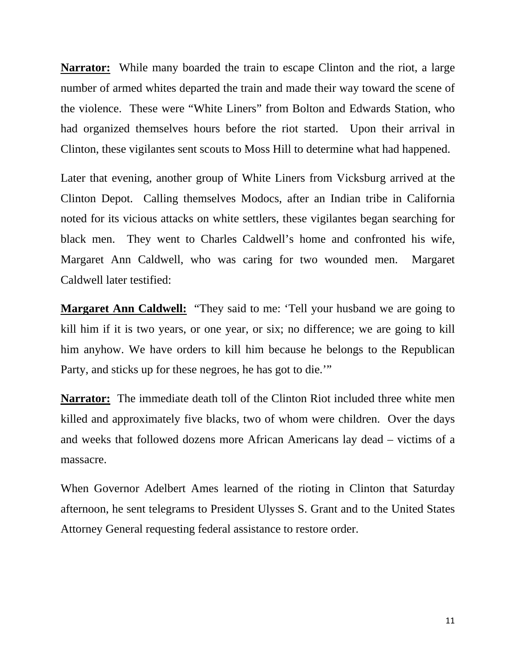**Narrator:** While many boarded the train to escape Clinton and the riot, a large number of armed whites departed the train and made their way toward the scene of the violence. These were "White Liners" from Bolton and Edwards Station, who had organized themselves hours before the riot started. Upon their arrival in Clinton, these vigilantes sent scouts to Moss Hill to determine what had happened.

Later that evening, another group of White Liners from Vicksburg arrived at the Clinton Depot. Calling themselves Modocs, after an Indian tribe in California noted for its vicious attacks on white settlers, these vigilantes began searching for black men. They went to Charles Caldwell's home and confronted his wife, Margaret Ann Caldwell, who was caring for two wounded men. Margaret Caldwell later testified:

**Margaret Ann Caldwell:** "They said to me: 'Tell your husband we are going to kill him if it is two years, or one year, or six; no difference; we are going to kill him anyhow. We have orders to kill him because he belongs to the Republican Party, and sticks up for these negroes, he has got to die.'"

**Narrator:** The immediate death toll of the Clinton Riot included three white men killed and approximately five blacks, two of whom were children. Over the days and weeks that followed dozens more African Americans lay dead – victims of a massacre.

When Governor Adelbert Ames learned of the rioting in Clinton that Saturday afternoon, he sent telegrams to President Ulysses S. Grant and to the United States Attorney General requesting federal assistance to restore order.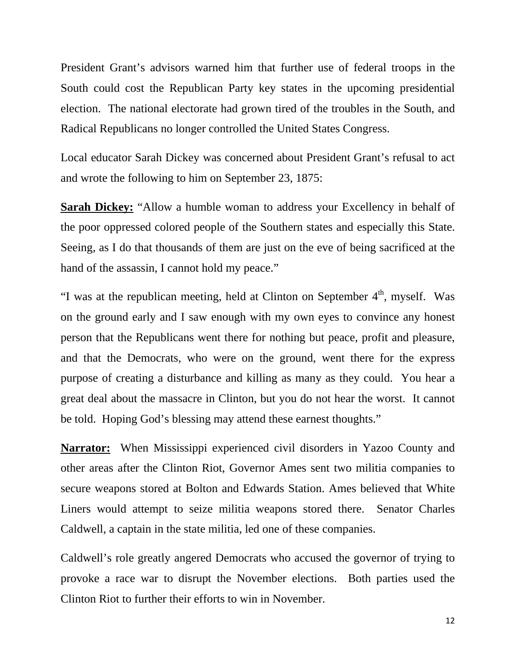President Grant's advisors warned him that further use of federal troops in the South could cost the Republican Party key states in the upcoming presidential election. The national electorate had grown tired of the troubles in the South, and Radical Republicans no longer controlled the United States Congress.

Local educator Sarah Dickey was concerned about President Grant's refusal to act and wrote the following to him on September 23, 1875:

**Sarah Dickey:** "Allow a humble woman to address your Excellency in behalf of the poor oppressed colored people of the Southern states and especially this State. Seeing, as I do that thousands of them are just on the eve of being sacrificed at the hand of the assassin, I cannot hold my peace."

"I was at the republican meeting, held at Clinton on September  $4<sup>th</sup>$ , myself. Was on the ground early and I saw enough with my own eyes to convince any honest person that the Republicans went there for nothing but peace, profit and pleasure, and that the Democrats, who were on the ground, went there for the express purpose of creating a disturbance and killing as many as they could. You hear a great deal about the massacre in Clinton, but you do not hear the worst. It cannot be told. Hoping God's blessing may attend these earnest thoughts."

**Narrator:** When Mississippi experienced civil disorders in Yazoo County and other areas after the Clinton Riot, Governor Ames sent two militia companies to secure weapons stored at Bolton and Edwards Station. Ames believed that White Liners would attempt to seize militia weapons stored there. Senator Charles Caldwell, a captain in the state militia, led one of these companies.

Caldwell's role greatly angered Democrats who accused the governor of trying to provoke a race war to disrupt the November elections. Both parties used the Clinton Riot to further their efforts to win in November.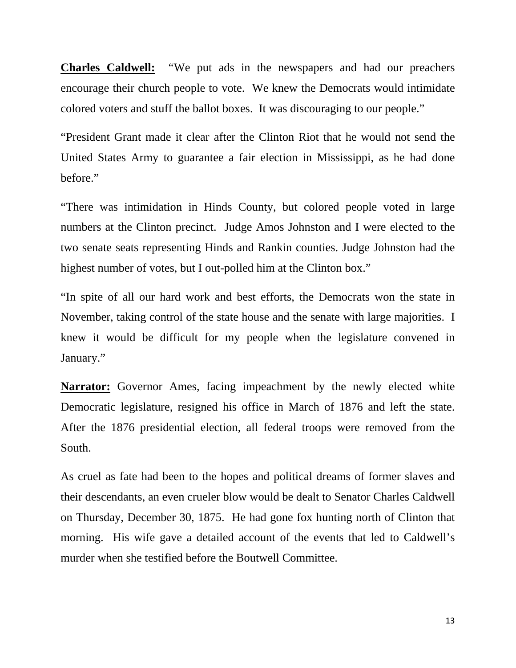**Charles Caldwell:** "We put ads in the newspapers and had our preachers encourage their church people to vote. We knew the Democrats would intimidate colored voters and stuff the ballot boxes. It was discouraging to our people."

"President Grant made it clear after the Clinton Riot that he would not send the United States Army to guarantee a fair election in Mississippi, as he had done before."

"There was intimidation in Hinds County, but colored people voted in large numbers at the Clinton precinct. Judge Amos Johnston and I were elected to the two senate seats representing Hinds and Rankin counties. Judge Johnston had the highest number of votes, but I out-polled him at the Clinton box."

"In spite of all our hard work and best efforts, the Democrats won the state in November, taking control of the state house and the senate with large majorities. I knew it would be difficult for my people when the legislature convened in January."

**Narrator:** Governor Ames, facing impeachment by the newly elected white Democratic legislature, resigned his office in March of 1876 and left the state. After the 1876 presidential election, all federal troops were removed from the South.

As cruel as fate had been to the hopes and political dreams of former slaves and their descendants, an even crueler blow would be dealt to Senator Charles Caldwell on Thursday, December 30, 1875. He had gone fox hunting north of Clinton that morning. His wife gave a detailed account of the events that led to Caldwell's murder when she testified before the Boutwell Committee.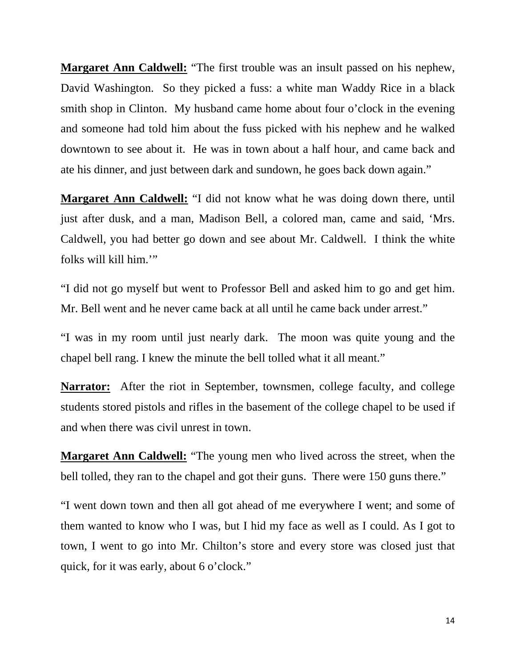**Margaret Ann Caldwell:** "The first trouble was an insult passed on his nephew, David Washington. So they picked a fuss: a white man Waddy Rice in a black smith shop in Clinton. My husband came home about four o'clock in the evening and someone had told him about the fuss picked with his nephew and he walked downtown to see about it. He was in town about a half hour, and came back and ate his dinner, and just between dark and sundown, he goes back down again."

**Margaret Ann Caldwell:** "I did not know what he was doing down there, until just after dusk, and a man, Madison Bell, a colored man, came and said, 'Mrs. Caldwell, you had better go down and see about Mr. Caldwell. I think the white folks will kill him.'"

"I did not go myself but went to Professor Bell and asked him to go and get him. Mr. Bell went and he never came back at all until he came back under arrest."

"I was in my room until just nearly dark. The moon was quite young and the chapel bell rang. I knew the minute the bell tolled what it all meant."

**Narrator:** After the riot in September, townsmen, college faculty, and college students stored pistols and rifles in the basement of the college chapel to be used if and when there was civil unrest in town.

**Margaret Ann Caldwell:** "The young men who lived across the street, when the bell tolled, they ran to the chapel and got their guns. There were 150 guns there."

"I went down town and then all got ahead of me everywhere I went; and some of them wanted to know who I was, but I hid my face as well as I could. As I got to town, I went to go into Mr. Chilton's store and every store was closed just that quick, for it was early, about 6 o'clock."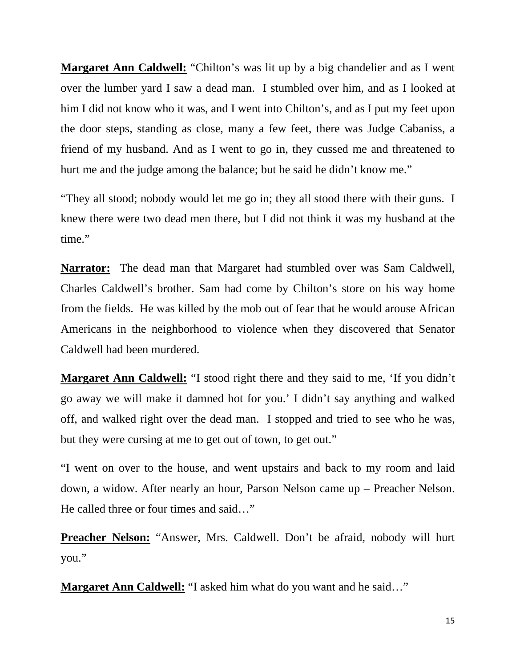**Margaret Ann Caldwell:** "Chilton's was lit up by a big chandelier and as I went over the lumber yard I saw a dead man. I stumbled over him, and as I looked at him I did not know who it was, and I went into Chilton's, and as I put my feet upon the door steps, standing as close, many a few feet, there was Judge Cabaniss, a friend of my husband. And as I went to go in, they cussed me and threatened to hurt me and the judge among the balance; but he said he didn't know me."

"They all stood; nobody would let me go in; they all stood there with their guns. I knew there were two dead men there, but I did not think it was my husband at the time."

**Narrator:** The dead man that Margaret had stumbled over was Sam Caldwell, Charles Caldwell's brother. Sam had come by Chilton's store on his way home from the fields. He was killed by the mob out of fear that he would arouse African Americans in the neighborhood to violence when they discovered that Senator Caldwell had been murdered.

**Margaret Ann Caldwell:** "I stood right there and they said to me, 'If you didn't go away we will make it damned hot for you.' I didn't say anything and walked off, and walked right over the dead man. I stopped and tried to see who he was, but they were cursing at me to get out of town, to get out."

"I went on over to the house, and went upstairs and back to my room and laid down, a widow. After nearly an hour, Parson Nelson came up – Preacher Nelson. He called three or four times and said…"

**Preacher Nelson:** "Answer, Mrs. Caldwell. Don't be afraid, nobody will hurt you."

**Margaret Ann Caldwell:** "I asked him what do you want and he said..."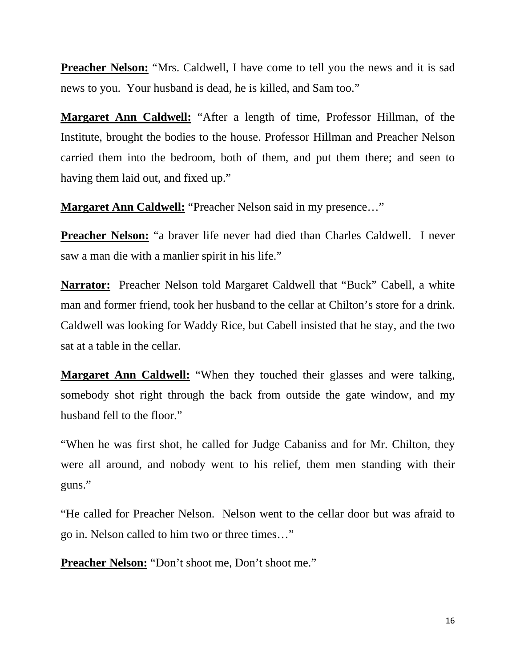**Preacher Nelson:** "Mrs. Caldwell, I have come to tell you the news and it is sad news to you. Your husband is dead, he is killed, and Sam too."

**Margaret Ann Caldwell:** "After a length of time, Professor Hillman, of the Institute, brought the bodies to the house. Professor Hillman and Preacher Nelson carried them into the bedroom, both of them, and put them there; and seen to having them laid out, and fixed up."

**Margaret Ann Caldwell:** "Preacher Nelson said in my presence…"

**Preacher Nelson:** "a braver life never had died than Charles Caldwell. I never saw a man die with a manlier spirit in his life."

**Narrator:** Preacher Nelson told Margaret Caldwell that "Buck" Cabell, a white man and former friend, took her husband to the cellar at Chilton's store for a drink. Caldwell was looking for Waddy Rice, but Cabell insisted that he stay, and the two sat at a table in the cellar.

**Margaret Ann Caldwell:** "When they touched their glasses and were talking, somebody shot right through the back from outside the gate window, and my husband fell to the floor."

"When he was first shot, he called for Judge Cabaniss and for Mr. Chilton, they were all around, and nobody went to his relief, them men standing with their guns."

"He called for Preacher Nelson. Nelson went to the cellar door but was afraid to go in. Nelson called to him two or three times…"

**Preacher Nelson:** "Don't shoot me, Don't shoot me."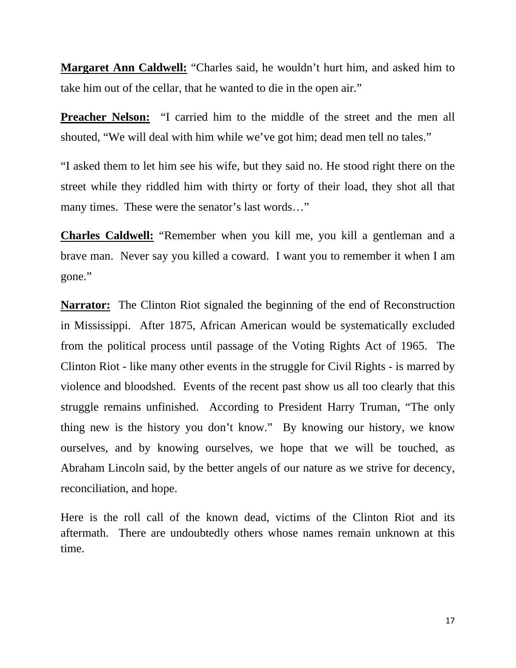**Margaret Ann Caldwell:** "Charles said, he wouldn't hurt him, and asked him to take him out of the cellar, that he wanted to die in the open air."

**Preacher Nelson:** "I carried him to the middle of the street and the men all shouted, "We will deal with him while we've got him; dead men tell no tales."

"I asked them to let him see his wife, but they said no. He stood right there on the street while they riddled him with thirty or forty of their load, they shot all that many times. These were the senator's last words…"

**Charles Caldwell:** "Remember when you kill me, you kill a gentleman and a brave man. Never say you killed a coward. I want you to remember it when I am gone."

**Narrator:** The Clinton Riot signaled the beginning of the end of Reconstruction in Mississippi. After 1875, African American would be systematically excluded from the political process until passage of the Voting Rights Act of 1965. The Clinton Riot - like many other events in the struggle for Civil Rights - is marred by violence and bloodshed. Events of the recent past show us all too clearly that this struggle remains unfinished. According to President Harry Truman, "The only thing new is the history you don't know." By knowing our history, we know ourselves, and by knowing ourselves, we hope that we will be touched, as Abraham Lincoln said, by the better angels of our nature as we strive for decency, reconciliation, and hope.

Here is the roll call of the known dead, victims of the Clinton Riot and its aftermath. There are undoubtedly others whose names remain unknown at this time.